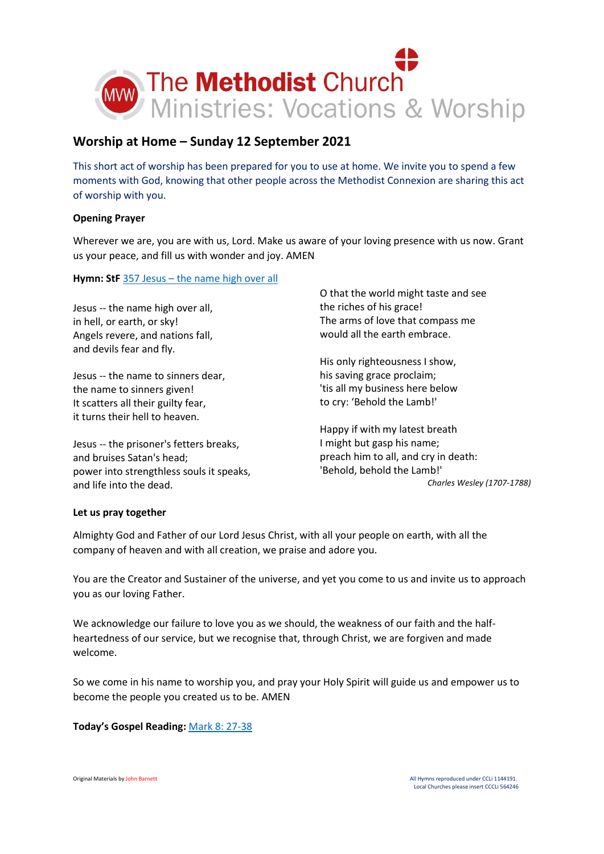

# **Worship at Home – Sunday 12 September 2021**

This short act of worship has been prepared for you to use at home. We invite you to spend a few moments with God, knowing that other people across the Methodist Connexion are sharing this act of worship with you.

# **Opening Prayer**

Wherever we are, you are with us, Lord. Make us aware of your loving presence with us now. Grant us your peace, and fill us with wonder and joy. AMEN

## **Hymn: StF** 357 Jesus – [the name high over all](https://youtu.be/vTYRFT34dAc)

Jesus -- the name high over all, in hell, or earth, or sky! Angels revere, and nations fall, and devils fear and fly.

Jesus -- the name to sinners dear, the name to sinners given! It scatters all their guilty fear, it turns their hell to heaven.

Jesus -- the prisoner's fetters breaks, and bruises Satan's head; power into strengthless souls it speaks, and life into the dead.

O that the world might taste and see the riches of his grace! The arms of love that compass me would all the earth embrace.

His only righteousness I show, his saving grace proclaim; 'tis all my business here below to cry: 'Behold the Lamb!'

Happy if with my latest breath I might but gasp his name; preach him to all, and cry in death: 'Behold, behold the Lamb!' *Charles Wesley (1707-1788)*

## **Let us pray together**

Almighty God and Father of our Lord Jesus Christ, with all your people on earth, with all the company of heaven and with all creation, we praise and adore you.

You are the Creator and Sustainer of the universe, and yet you come to us and invite us to approach you as our loving Father.

We acknowledge our failure to love you as we should, the weakness of our faith and the halfheartedness of our service, but we recognise that, through Christ, we are forgiven and made welcome.

So we come in his name to worship you, and pray your Holy Spirit will guide us and empower us to become the people you created us to be. AMEN

## **Today's Gospel Reading:** [Mark 8: 27-38](https://www.biblegateway.com/passage/?search=Mark+8%3A+27-38&version=NIV)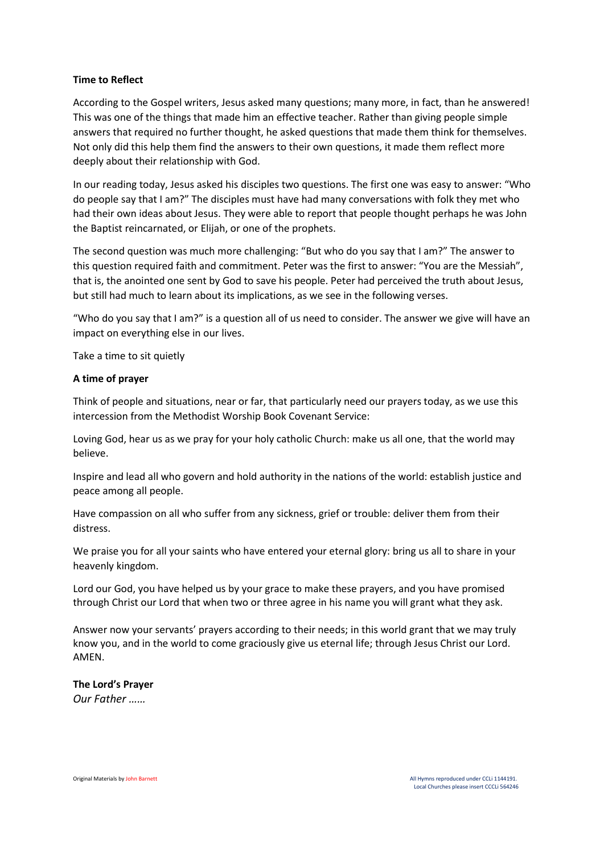## **Time to Reflect**

According to the Gospel writers, Jesus asked many questions; many more, in fact, than he answered! This was one of the things that made him an effective teacher. Rather than giving people simple answers that required no further thought, he asked questions that made them think for themselves. Not only did this help them find the answers to their own questions, it made them reflect more deeply about their relationship with God.

In our reading today, Jesus asked his disciples two questions. The first one was easy to answer: "Who do people say that I am?" The disciples must have had many conversations with folk they met who had their own ideas about Jesus. They were able to report that people thought perhaps he was John the Baptist reincarnated, or Elijah, or one of the prophets.

The second question was much more challenging: "But who do you say that I am?" The answer to this question required faith and commitment. Peter was the first to answer: "You are the Messiah", that is, the anointed one sent by God to save his people. Peter had perceived the truth about Jesus, but still had much to learn about its implications, as we see in the following verses.

"Who do you say that I am?" is a question all of us need to consider. The answer we give will have an impact on everything else in our lives.

Take a time to sit quietly

## **A time of prayer**

Think of people and situations, near or far, that particularly need our prayers today, as we use this intercession from the Methodist Worship Book Covenant Service:

Loving God, hear us as we pray for your holy catholic Church: make us all one, that the world may believe.

Inspire and lead all who govern and hold authority in the nations of the world: establish justice and peace among all people.

Have compassion on all who suffer from any sickness, grief or trouble: deliver them from their distress.

We praise you for all your saints who have entered your eternal glory: bring us all to share in your heavenly kingdom.

Lord our God, you have helped us by your grace to make these prayers, and you have promised through Christ our Lord that when two or three agree in his name you will grant what they ask.

Answer now your servants' prayers according to their needs; in this world grant that we may truly know you, and in the world to come graciously give us eternal life; through Jesus Christ our Lord. AMEN.

## **The Lord's Prayer**

*Our Father ……*